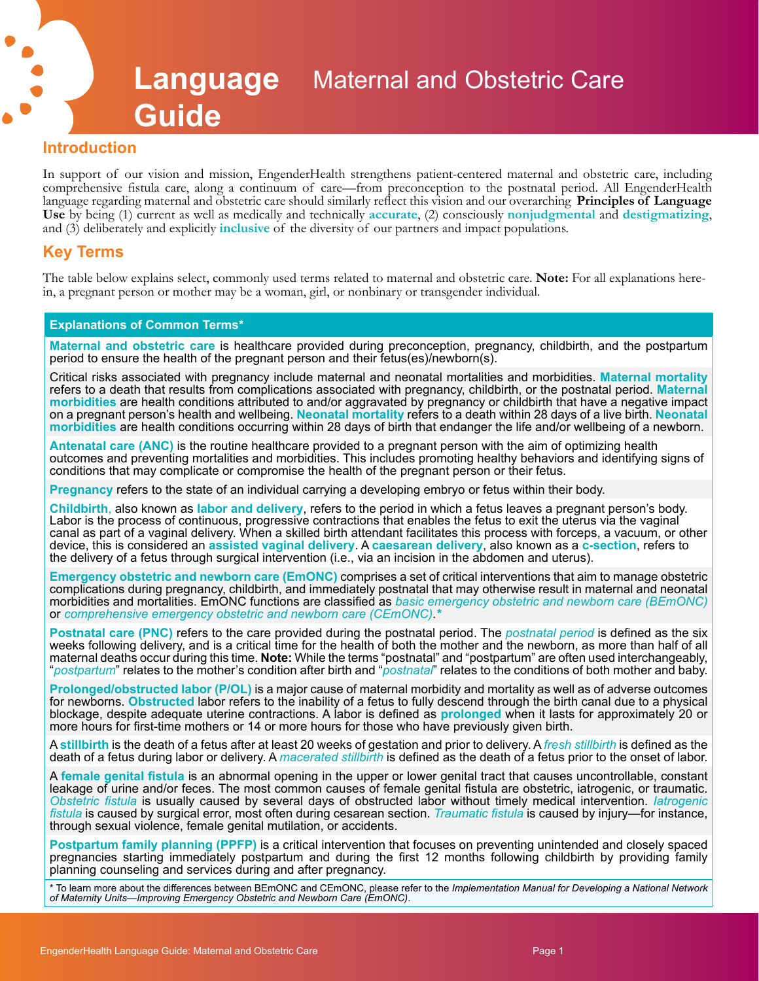# **Language**  Maternal and Obstetric Care **Guide**

## **Introduction**

In support of our vision and mission, EngenderHealth strengthens patient-centered maternal and obstetric care, including comprehensive fistula care, along a continuum of care—from preconception to the postnatal period. All EngenderHealth language regarding maternal and obstetric care should similarly reflect this vision and our overarching **Principles of Language**  Use by being (1) current as well as medically and technically **accurate**, (2) consciously **nonjudgmental** and **destigmatizing**, and (3) deliberately and explicitly **inclusive** of the diversity of our partners and impact po

## **Key Terms**

The table below explains select, commonly used terms related to maternal and obstetric care. **Note:** For all explanations here-<br>in, a pregnant person or mother may be a woman, girl, or nonbinary or transgender individual.

#### **Explanations of Common Terms\***

**Maternal and obstetric care** is healthcare provided during preconception, pregnancy, childbirth, and the postpartum period to ensure the health of the pregnant person and their fetus(es)/newborn(s).

Critical risks associated with pregnancy include maternal and neonatal mortalities and morbidities. **Maternal mortality**  refers to a death that results from complications associated with pregnancy, childbirth, or the postnatal period. **Maternal morbidities** are health conditions attributed to and/or aggravated by pregnancy or childbirth that have a negative impact on a pregnant person's health and wellbeing. **Neonatal mortality** refers to a death within 28 days of a live birth. **Neonatal morbidities** are health conditions occurring within 28 days of birth that endanger the life and/or wellbeing of a newborn.

**Antenatal care (ANC)** is the routine healthcare provided to a pregnant person with the aim of optimizing health outcomes and preventing mortalities and morbidities. This includes promoting healthy behaviors and identifying signs of conditions that may complicate or compromise the health of the pregnant person or their fetus.

**Pregnancy** refers to the state of an individual carrying a developing embryo or fetus within their body.

**Childbirth**, also known as **labor and delivery**, refers to the period in which a fetus leaves a pregnant person's body. Labor is the process of continuous, progressive contractions that enables the fetus to exit the uterus via the vaginal canal as part of a vaginal delivery. When a skilled birth attendant facilitates this process with forceps, a vacuum, or other device, this is considered an **assisted vaginal delivery**. A **caesarean delivery**, also known as a **c-section**, refers to the delivery of a fetus through surgical intervention (i.e., via an incision in the abdomen and uterus).

**Emergency obstetric and newborn care (EmONC)** comprises a set of critical interventions that aim to manage obstetric complications during pregnancy, childbirth, and immediately postnatal that may otherwise result in maternal and neonatal morbidities and mortalities. EmONC functions are classified as *basic emergency obstetric and newborn care (BEmONC)* or *comprehensive emergency obstetric and newborn care (CEmONC)*.*\**

**Postnatal care (PNC)** refers to the care provided during the postnatal period. The *postnatal period* is defined as the six weeks following delivery, and is a critical time for the health of both the mother and the newborn, as more than half of all maternal deaths occur during this time. **Note:** While the terms "postnatal" and "postpartum" are often used interchangeably, "*postpartum*" relates to the mother's condition after birth and "*postnatal*" relates to the conditions of both mother and baby.

**Prolonged/obstructed labor (P/OL)** is a major cause of maternal morbidity and mortality as well as of adverse outcomes for newborns. **Obstructed** labor refers to the inability of a fetus to fully descend through the birth canal due to a physical blockage, despite adequate uterine contractions. A labor is defined as **prolonged** when it lasts for approximately 20 or more hours for first-time mothers or 14 or more hours for those who have previously given birth.

A **stillbirth** is the death of a fetus after at least 20 weeks of gestation and prior to delivery. A *fresh stillbirth* is defined as the death of a fetus during labor or delivery. A *macerated stillbirth* is defined as the death of a fetus prior to the onset of labor.

A **female genital fistula** is an abnormal opening in the upper or lower genital tract that causes uncontrollable, constant leakage of urine and/or feces. The most common causes of female genital fistula are obstetric, iatrogenic, or traumatic. *Obstetric fistula* is usually caused by several days of obstructed labor without timely medical intervention. *Iatrogenic fistula* is caused by surgical error, most often during cesarean section. *Traumatic fistula* is caused by injury—for instance, through sexual violence, female genital mutilation, or accidents.

**Postpartum family planning (PPFP)** is a critical intervention that focuses on preventing unintended and closely spaced pregnancies starting immediately postpartum and during the first 12 months following childbirth by providing family planning counseling and services during and after pregnancy.

\* To learn more about the differences between BEmONC and CEmONC, please refer to the *Implementation Manual for Developing a National Network of Maternity Units—Improving Emergency Obstetric and Newborn Care (EmONC)*.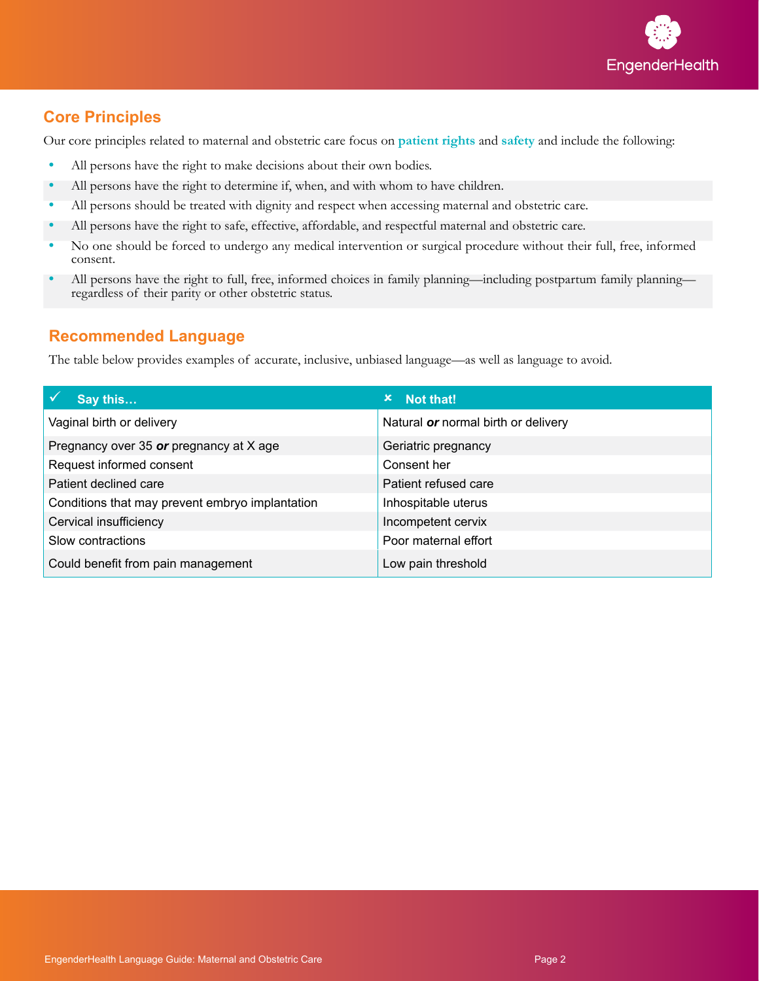

# **Core Principles**

Our core principles related to maternal and obstetric care focus on **patient rights** and **safety** and include the following:

- **•** All persons have the right to make decisions about their own bodies.
- **•** All persons have the right to determine if, when, and with whom to have children.
- **•** All persons should be treated with dignity and respect when accessing maternal and obstetric care.
- **•** All persons have the right to safe, effective, affordable, and respectful maternal and obstetric care.
- **•** No one should be forced to undergo any medical intervention or surgical procedure without their full, free, informed consent.
- **•** All persons have the right to full, free, informed choices in family planning—including postpartum family planning regardless of their parity or other obstetric status.

# **Recommended Language**

The table below provides examples of accurate, inclusive, unbiased language—as well as language to avoid.

| Say this                                        | Not that!<br>×.                     |
|-------------------------------------------------|-------------------------------------|
| Vaginal birth or delivery                       | Natural or normal birth or delivery |
| Pregnancy over 35 or pregnancy at X age         | Geriatric pregnancy                 |
| Request informed consent                        | Consent her                         |
| Patient declined care                           | Patient refused care                |
| Conditions that may prevent embryo implantation | Inhospitable uterus                 |
| Cervical insufficiency                          | Incompetent cervix                  |
| Slow contractions                               | Poor maternal effort                |
| Could benefit from pain management              | Low pain threshold                  |